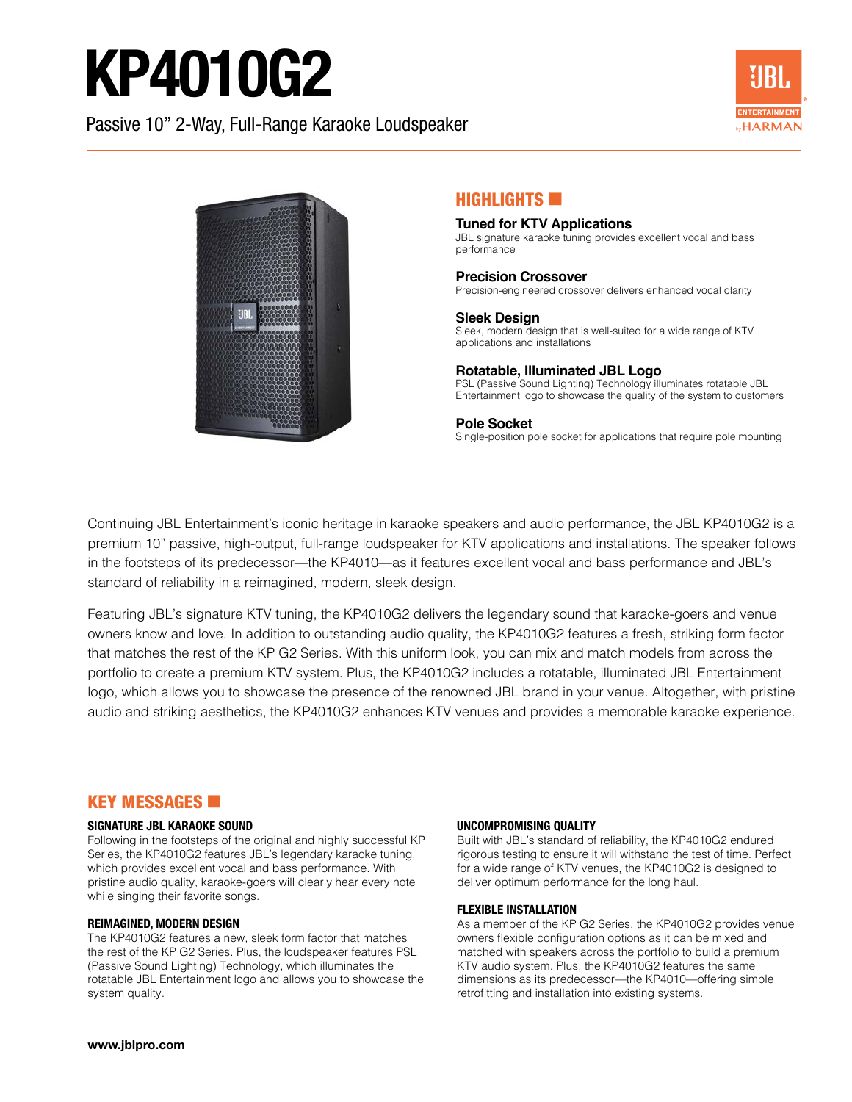# KP4010G2

Passive 10" 2-Way, Full-Range Karaoke Loudspeaker





#### HIGHLIGHTS **EXI**

#### **Tuned for KTV Applications** JBL signature karaoke tuning provides excellent vocal and bass performance

#### **Precision Crossover**

Precision-engineered crossover delivers enhanced vocal clarity

**Sleek Design** Sleek, modern design that is well-suited for a wide range of KTV applications and installations

#### **Rotatable, Illuminated JBL Logo**

PSL (Passive Sound Lighting) Technology illuminates rotatable JBL Entertainment logo to showcase the quality of the system to customers

#### **Pole Socket**

Single-position pole socket for applications that require pole mounting

Continuing JBL Entertainment's iconic heritage in karaoke speakers and audio performance, the JBL KP4010G2 is a premium 10" passive, high-output, full-range loudspeaker for KTV applications and installations. The speaker follows in the footsteps of its predecessor—the KP4010—as it features excellent vocal and bass performance and JBL's standard of reliability in a reimagined, modern, sleek design.

Featuring JBL's signature KTV tuning, the KP4010G2 delivers the legendary sound that karaoke-goers and venue owners know and love. In addition to outstanding audio quality, the KP4010G2 features a fresh, striking form factor that matches the rest of the KP G2 Series. With this uniform look, you can mix and match models from across the portfolio to create a premium KTV system. Plus, the KP4010G2 includes a rotatable, illuminated JBL Entertainment logo, which allows you to showcase the presence of the renowned JBL brand in your venue. Altogether, with pristine audio and striking aesthetics, the KP4010G2 enhances KTV venues and provides a memorable karaoke experience.

#### **KEY MESSAGES <b>E**

#### **SIGNATURE JBL KARAOKE SOUND**

Following in the footsteps of the original and highly successful KP Series, the KP4010G2 features JBL's legendary karaoke tuning, which provides excellent vocal and bass performance. With pristine audio quality, karaoke-goers will clearly hear every note while singing their favorite songs.

#### **REIMAGINED, MODERN DESIGN**

The KP4010G2 features a new, sleek form factor that matches the rest of the KP G2 Series. Plus, the loudspeaker features PSL (Passive Sound Lighting) Technology, which illuminates the rotatable JBL Entertainment logo and allows you to showcase the system quality.

#### **UNCOMPROMISING QUALITY**

Built with JBL's standard of reliability, the KP4010G2 endured rigorous testing to ensure it will withstand the test of time. Perfect for a wide range of KTV venues, the KP4010G2 is designed to deliver optimum performance for the long haul.

#### **FLEXIBLE INSTALLATION**

As a member of the KP G2 Series, the KP4010G2 provides venue owners flexible configuration options as it can be mixed and matched with speakers across the portfolio to build a premium KTV audio system. Plus, the KP4010G2 features the same dimensions as its predecessor—the KP4010—offering simple retrofitting and installation into existing systems.